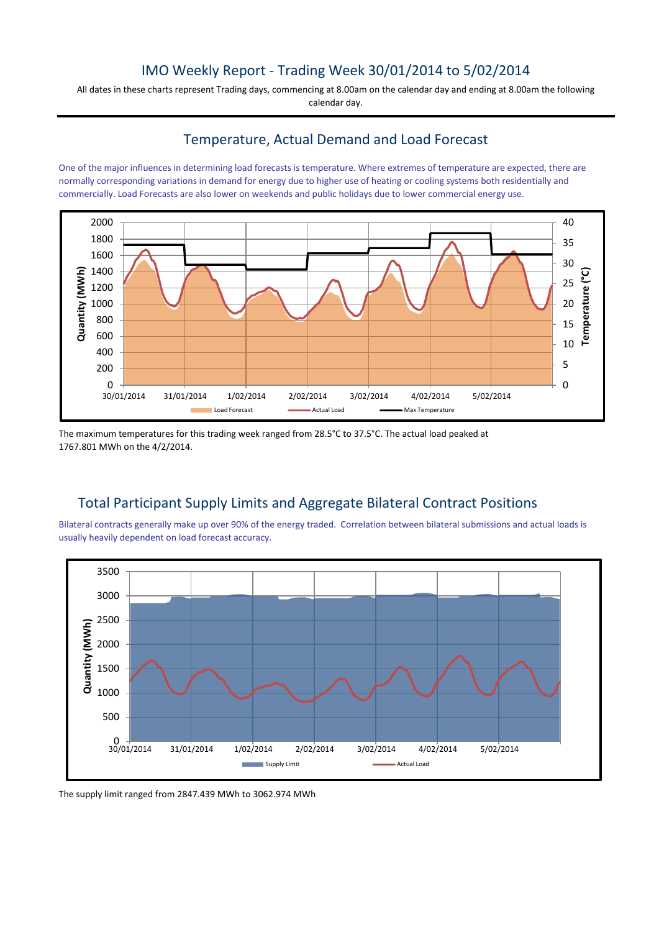## IMO Weekly Report - Trading Week 30/01/2014 to 5/02/2014

All dates in these charts represent Trading days, commencing at 8.00am on the calendar day and ending at 8.00am the following calendar day.

### Temperature, Actual Demand and Load Forecast

One of the major influences in determining load forecasts is temperature. Where extremes of temperature are expected, there are normally corresponding variations in demand for energy due to higher use of heating or cooling systems both residentially and commercially. Load Forecasts are also lower on weekends and public holidays due to lower commercial energy use.



The maximum temperatures for this trading week ranged from 28.5°C to 37.5°C. The actual load peaked at 1767.801 MWh on the 4/2/2014.

# Total Participant Supply Limits and Aggregate Bilateral Contract Positions

Bilateral contracts generally make up over 90% of the energy traded. Correlation between bilateral submissions and actual loads is usually heavily dependent on load forecast accuracy.



The supply limit ranged from 2847.439 MWh to 3062.974 MWh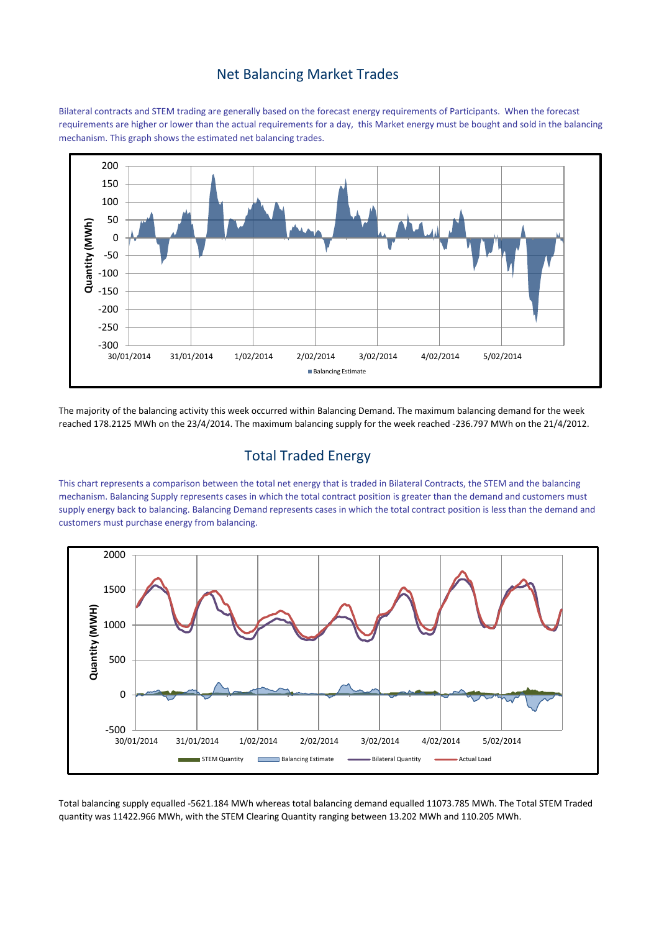#### Net Balancing Market Trades

Bilateral contracts and STEM trading are generally based on the forecast energy requirements of Participants. When the forecast requirements are higher or lower than the actual requirements for a day, this Market energy must be bought and sold in the balancing mechanism. This graph shows the estimated net balancing trades.



The majority of the balancing activity this week occurred within Balancing Demand. The maximum balancing demand for the week reached 178.2125 MWh on the 23/4/2014. The maximum balancing supply for the week reached -236.797 MWh on the 21/4/2012.

# Total Traded Energy

This chart represents a comparison between the total net energy that is traded in Bilateral Contracts, the STEM and the balancing mechanism. Balancing Supply represents cases in which the total contract position is greater than the demand and customers must supply energy back to balancing. Balancing Demand represents cases in which the total contract position is less than the demand and customers must purchase energy from balancing.



Total balancing supply equalled -5621.184 MWh whereas total balancing demand equalled 11073.785 MWh. The Total STEM Traded quantity was 11422.966 MWh, with the STEM Clearing Quantity ranging between 13.202 MWh and 110.205 MWh.